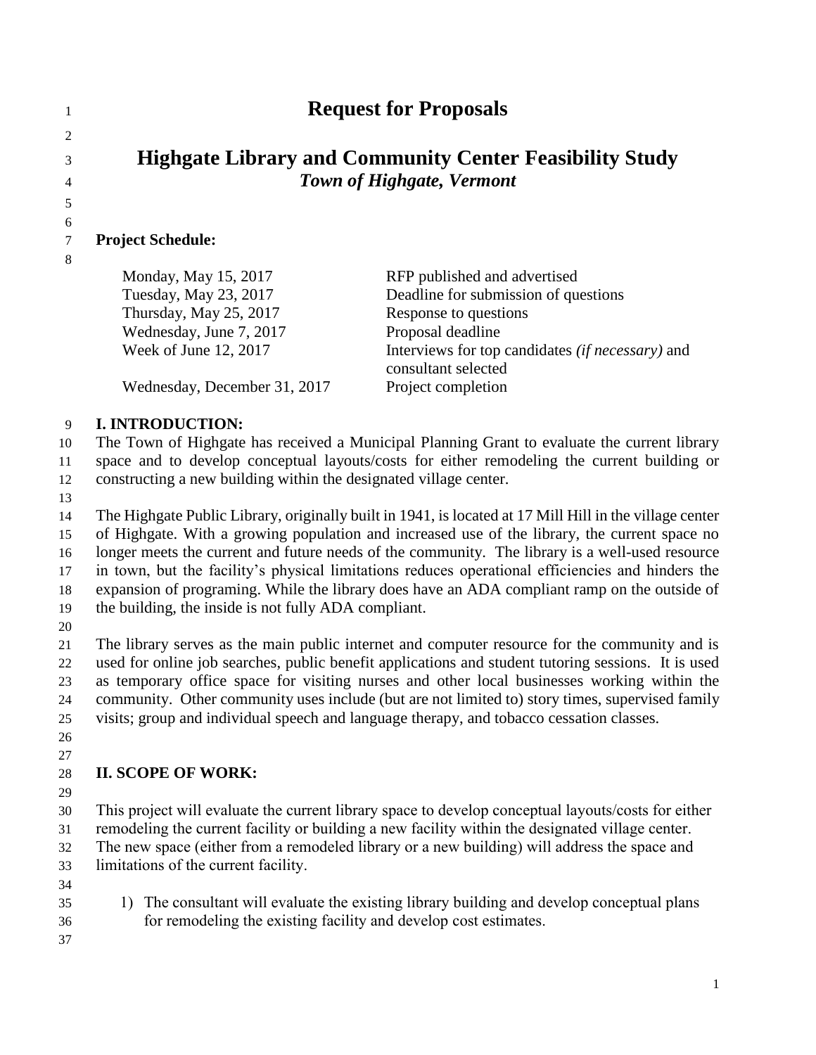# **Request for Proposals**

## **Highgate Library and Community Center Feasibility Study** *Town of Highgate, Vermont*

#### **Project Schedule:**

 

 $\mathfrak{D}$ 

| Monday, May 15, 2017         | RFP published and advertised                            |
|------------------------------|---------------------------------------------------------|
| Tuesday, May 23, 2017        | Deadline for submission of questions                    |
| Thursday, May 25, 2017       | Response to questions                                   |
| Wednesday, June 7, 2017      | Proposal deadline                                       |
| Week of June 12, 2017        | Interviews for top candidates <i>(if necessary)</i> and |
|                              | consultant selected                                     |
| Wednesday, December 31, 2017 | Project completion                                      |
|                              |                                                         |

### **I. INTRODUCTION:**

 The Town of Highgate has received a Municipal Planning Grant to evaluate the current library space and to develop conceptual layouts/costs for either remodeling the current building or

constructing a new building within the designated village center.

 The Highgate Public Library, originally built in 1941, is located at 17 Mill Hill in the village center of Highgate. With a growing population and increased use of the library, the current space no longer meets the current and future needs of the community. The library is a well-used resource in town, but the facility's physical limitations reduces operational efficiencies and hinders the expansion of programing. While the library does have an ADA compliant ramp on the outside of the building, the inside is not fully ADA compliant.

 The library serves as the main public internet and computer resource for the community and is used for online job searches, public benefit applications and student tutoring sessions. It is used as temporary office space for visiting nurses and other local businesses working within the community. Other community uses include (but are not limited to) story times, supervised family visits; group and individual speech and language therapy, and tobacco cessation classes.

#### **II. SCOPE OF WORK:**

This project will evaluate the current library space to develop conceptual layouts/costs for either

remodeling the current facility or building a new facility within the designated village center.

 The new space (either from a remodeled library or a new building) will address the space and limitations of the current facility.

- 
- 1) The consultant will evaluate the existing library building and develop conceptual plans for remodeling the existing facility and develop cost estimates.
-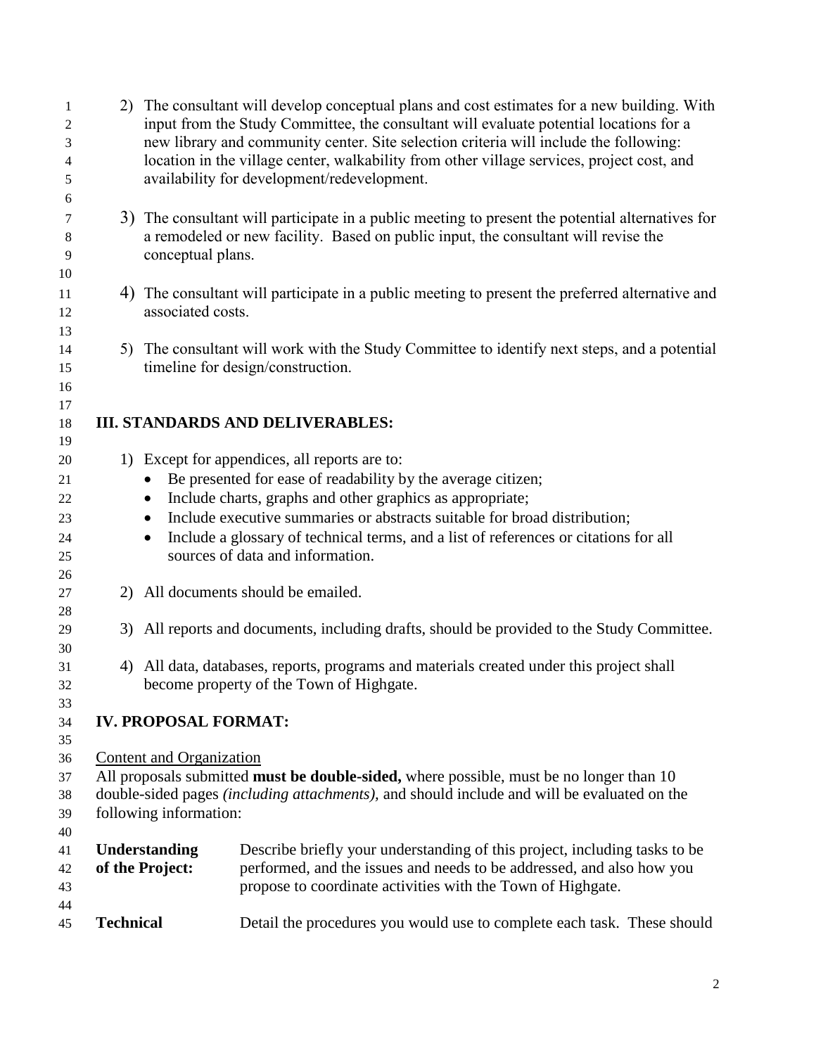| 1<br>2   |                                                                                                                       | 2) The consultant will develop conceptual plans and cost estimates for a new building. With<br>input from the Study Committee, the consultant will evaluate potential locations for a |                                                                                                  |  |
|----------|-----------------------------------------------------------------------------------------------------------------------|---------------------------------------------------------------------------------------------------------------------------------------------------------------------------------------|--------------------------------------------------------------------------------------------------|--|
| 3        |                                                                                                                       |                                                                                                                                                                                       | new library and community center. Site selection criteria will include the following:            |  |
| 4        |                                                                                                                       |                                                                                                                                                                                       | location in the village center, walkability from other village services, project cost, and       |  |
| 5        |                                                                                                                       |                                                                                                                                                                                       | availability for development/redevelopment.                                                      |  |
| 6        |                                                                                                                       |                                                                                                                                                                                       |                                                                                                  |  |
| 7        |                                                                                                                       |                                                                                                                                                                                       | 3) The consultant will participate in a public meeting to present the potential alternatives for |  |
| 8        |                                                                                                                       |                                                                                                                                                                                       | a remodeled or new facility. Based on public input, the consultant will revise the               |  |
| 9        |                                                                                                                       | conceptual plans.                                                                                                                                                                     |                                                                                                  |  |
| 10       |                                                                                                                       |                                                                                                                                                                                       |                                                                                                  |  |
| 11       |                                                                                                                       |                                                                                                                                                                                       | 4) The consultant will participate in a public meeting to present the preferred alternative and  |  |
| 12       |                                                                                                                       | associated costs.                                                                                                                                                                     |                                                                                                  |  |
| 13       |                                                                                                                       |                                                                                                                                                                                       |                                                                                                  |  |
| 14       |                                                                                                                       |                                                                                                                                                                                       | 5) The consultant will work with the Study Committee to identify next steps, and a potential     |  |
| 15       |                                                                                                                       |                                                                                                                                                                                       | timeline for design/construction.                                                                |  |
| 16       |                                                                                                                       |                                                                                                                                                                                       |                                                                                                  |  |
| 17       |                                                                                                                       |                                                                                                                                                                                       |                                                                                                  |  |
| 18       | <b>III. STANDARDS AND DELIVERABLES:</b>                                                                               |                                                                                                                                                                                       |                                                                                                  |  |
| 19       |                                                                                                                       |                                                                                                                                                                                       |                                                                                                  |  |
| 20       |                                                                                                                       |                                                                                                                                                                                       | 1) Except for appendices, all reports are to:                                                    |  |
| 21       |                                                                                                                       | $\bullet$                                                                                                                                                                             | Be presented for ease of readability by the average citizen;                                     |  |
| 22       |                                                                                                                       | $\bullet$                                                                                                                                                                             | Include charts, graphs and other graphics as appropriate;                                        |  |
| 23       |                                                                                                                       | $\bullet$                                                                                                                                                                             | Include executive summaries or abstracts suitable for broad distribution;                        |  |
| 24       |                                                                                                                       | $\bullet$                                                                                                                                                                             | Include a glossary of technical terms, and a list of references or citations for all             |  |
| 25       |                                                                                                                       |                                                                                                                                                                                       | sources of data and information.                                                                 |  |
| 26       |                                                                                                                       |                                                                                                                                                                                       |                                                                                                  |  |
| 27       |                                                                                                                       |                                                                                                                                                                                       | 2) All documents should be emailed.                                                              |  |
| 28       |                                                                                                                       |                                                                                                                                                                                       |                                                                                                  |  |
| 29       | 3)                                                                                                                    |                                                                                                                                                                                       | All reports and documents, including drafts, should be provided to the Study Committee.          |  |
| 30       |                                                                                                                       |                                                                                                                                                                                       |                                                                                                  |  |
| 31       |                                                                                                                       |                                                                                                                                                                                       | 4) All data, databases, reports, programs and materials created under this project shall         |  |
| 32       |                                                                                                                       |                                                                                                                                                                                       | become property of the Town of Highgate.                                                         |  |
| 33       |                                                                                                                       |                                                                                                                                                                                       |                                                                                                  |  |
| 34       |                                                                                                                       | <b>IV. PROPOSAL FORMAT:</b>                                                                                                                                                           |                                                                                                  |  |
| 35       |                                                                                                                       |                                                                                                                                                                                       |                                                                                                  |  |
| 36       | Content and Organization                                                                                              |                                                                                                                                                                                       |                                                                                                  |  |
| 37       | All proposals submitted must be double-sided, where possible, must be no longer than 10                               |                                                                                                                                                                                       |                                                                                                  |  |
| 38       | double-sided pages (including attachments), and should include and will be evaluated on the<br>following information: |                                                                                                                                                                                       |                                                                                                  |  |
| 39<br>40 |                                                                                                                       |                                                                                                                                                                                       |                                                                                                  |  |
| 41       |                                                                                                                       | Understanding                                                                                                                                                                         | Describe briefly your understanding of this project, including tasks to be                       |  |
| 42       |                                                                                                                       | of the Project:                                                                                                                                                                       | performed, and the issues and needs to be addressed, and also how you                            |  |
| 43       |                                                                                                                       |                                                                                                                                                                                       | propose to coordinate activities with the Town of Highgate.                                      |  |
| 44       |                                                                                                                       |                                                                                                                                                                                       |                                                                                                  |  |
| 45       | <b>Technical</b>                                                                                                      |                                                                                                                                                                                       | Detail the procedures you would use to complete each task. These should                          |  |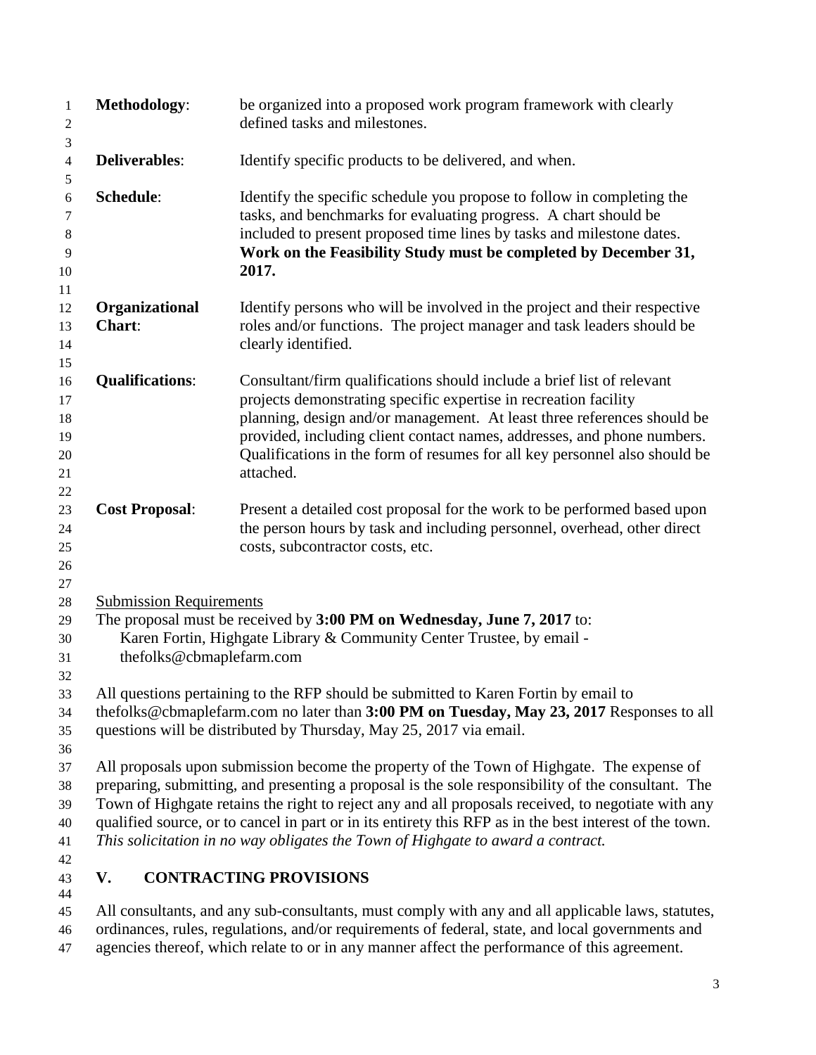| 1<br>$\overline{c}$<br>3               | Methodology:                                                                                                                                                                                                                                                                                                                                                                                                                                                                                        | be organized into a proposed work program framework with clearly<br>defined tasks and milestones.                                                                                                                                                                                                                                                                                           |  |
|----------------------------------------|-----------------------------------------------------------------------------------------------------------------------------------------------------------------------------------------------------------------------------------------------------------------------------------------------------------------------------------------------------------------------------------------------------------------------------------------------------------------------------------------------------|---------------------------------------------------------------------------------------------------------------------------------------------------------------------------------------------------------------------------------------------------------------------------------------------------------------------------------------------------------------------------------------------|--|
| 4<br>5                                 | <b>Deliverables:</b>                                                                                                                                                                                                                                                                                                                                                                                                                                                                                | Identify specific products to be delivered, and when.                                                                                                                                                                                                                                                                                                                                       |  |
| $\sqrt{6}$<br>7<br>8<br>9<br>10<br>11  | Schedule:                                                                                                                                                                                                                                                                                                                                                                                                                                                                                           | Identify the specific schedule you propose to follow in completing the<br>tasks, and benchmarks for evaluating progress. A chart should be<br>included to present proposed time lines by tasks and milestone dates.<br>Work on the Feasibility Study must be completed by December 31,<br>2017.                                                                                             |  |
| 12<br>13<br>14<br>15                   | Organizational<br>Chart:                                                                                                                                                                                                                                                                                                                                                                                                                                                                            | Identify persons who will be involved in the project and their respective<br>roles and/or functions. The project manager and task leaders should be<br>clearly identified.                                                                                                                                                                                                                  |  |
| 16<br>17<br>18<br>19<br>20<br>21<br>22 | <b>Qualifications:</b>                                                                                                                                                                                                                                                                                                                                                                                                                                                                              | Consultant/firm qualifications should include a brief list of relevant<br>projects demonstrating specific expertise in recreation facility<br>planning, design and/or management. At least three references should be<br>provided, including client contact names, addresses, and phone numbers.<br>Qualifications in the form of resumes for all key personnel also should be<br>attached. |  |
| 23<br>24<br>$25\,$<br>$26\,$<br>27     | <b>Cost Proposal:</b>                                                                                                                                                                                                                                                                                                                                                                                                                                                                               | Present a detailed cost proposal for the work to be performed based upon<br>the person hours by task and including personnel, overhead, other direct<br>costs, subcontractor costs, etc.                                                                                                                                                                                                    |  |
| 28<br>29<br>30<br>31<br>32             | <b>Submission Requirements</b><br>thefolks@cbmaplefarm.com                                                                                                                                                                                                                                                                                                                                                                                                                                          | The proposal must be received by 3:00 PM on Wednesday, June 7, 2017 to:<br>Karen Fortin, Highgate Library & Community Center Trustee, by email -                                                                                                                                                                                                                                            |  |
| 33<br>34<br>35<br>36                   |                                                                                                                                                                                                                                                                                                                                                                                                                                                                                                     | All questions pertaining to the RFP should be submitted to Karen Fortin by email to<br>thefolks@cbmaplefarm.com no later than 3:00 PM on Tuesday, May 23, 2017 Responses to all<br>questions will be distributed by Thursday, May 25, 2017 via email.                                                                                                                                       |  |
| 37<br>38<br>39<br>40<br>41             | All proposals upon submission become the property of the Town of Highgate. The expense of<br>preparing, submitting, and presenting a proposal is the sole responsibility of the consultant. The<br>Town of Highgate retains the right to reject any and all proposals received, to negotiate with any<br>qualified source, or to cancel in part or in its entirety this RFP as in the best interest of the town.<br>This solicitation in no way obligates the Town of Highgate to award a contract. |                                                                                                                                                                                                                                                                                                                                                                                             |  |
| 42<br>43<br>44                         | V.                                                                                                                                                                                                                                                                                                                                                                                                                                                                                                  | <b>CONTRACTING PROVISIONS</b>                                                                                                                                                                                                                                                                                                                                                               |  |
| 45                                     |                                                                                                                                                                                                                                                                                                                                                                                                                                                                                                     | All consultants, and any sub-consultants, must comply with any and all applicable laws, statutes,                                                                                                                                                                                                                                                                                           |  |

ordinances, rules, regulations, and/or requirements of federal, state, and local governments and